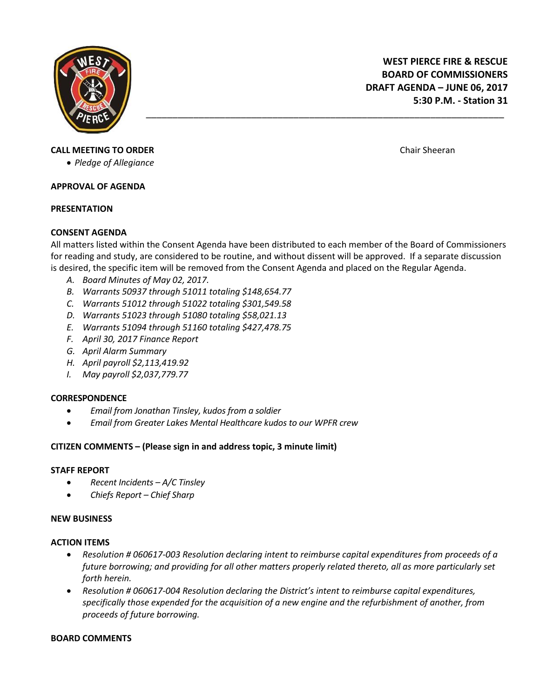

# **CALL MEETING TO ORDER** CHAIR CHAIRS AND THE STATE OF THE SHEETING TO ORDER CHAIRS AND THE SHEETING TO ORDER THE SHEETING TO ORDER THE SHEETING TO ORDER THE SHEETING TO ORDER THE SHEETING TO ORDER THE SHEETING TO ORDER THE

*Pledge of Allegiance*

#### **APPROVAL OF AGENDA**

#### **PRESENTATION**

# **CONSENT AGENDA**

All matters listed within the Consent Agenda have been distributed to each member of the Board of Commissioners for reading and study, are considered to be routine, and without dissent will be approved. If a separate discussion is desired, the specific item will be removed from the Consent Agenda and placed on the Regular Agenda.

\_\_\_\_\_\_\_\_\_\_\_\_\_\_\_\_\_\_\_\_\_\_\_\_\_\_\_\_\_\_\_\_\_\_\_\_\_\_\_\_\_\_\_\_\_\_\_\_\_\_\_\_\_\_\_\_\_\_\_\_\_\_\_\_\_\_\_\_

- *A. Board Minutes of May 02, 2017.*
- *B. Warrants 50937 through 51011 totaling \$148,654.77*
- *C. Warrants 51012 through 51022 totaling \$301,549.58*
- *D. Warrants 51023 through 51080 totaling \$58,021.13*
- *E. Warrants 51094 through 51160 totaling \$427,478.75*
- *F. April 30, 2017 Finance Report*
- *G. April Alarm Summary*
- *H. April payroll \$2,113,419.92*
- *I. May payroll \$2,037,779.77*

# **CORRESPONDENCE**

- *Email from Jonathan Tinsley, kudos from a soldier*
- *Email from Greater Lakes Mental Healthcare kudos to our WPFR crew*

# **CITIZEN COMMENTS – (Please sign in and address topic, 3 minute limit)**

# **STAFF REPORT**

- *Recent Incidents – A/C Tinsley*
- *Chiefs Report – Chief Sharp*

# **NEW BUSINESS**

# **ACTION ITEMS**

- *Resolution # 060617-003 Resolution declaring intent to reimburse capital expenditures from proceeds of a future borrowing; and providing for all other matters properly related thereto, all as more particularly set forth herein.*
- *Resolution # 060617-004 Resolution declaring the District's intent to reimburse capital expenditures, specifically those expended for the acquisition of a new engine and the refurbishment of another, from proceeds of future borrowing.*

# **BOARD COMMENTS**